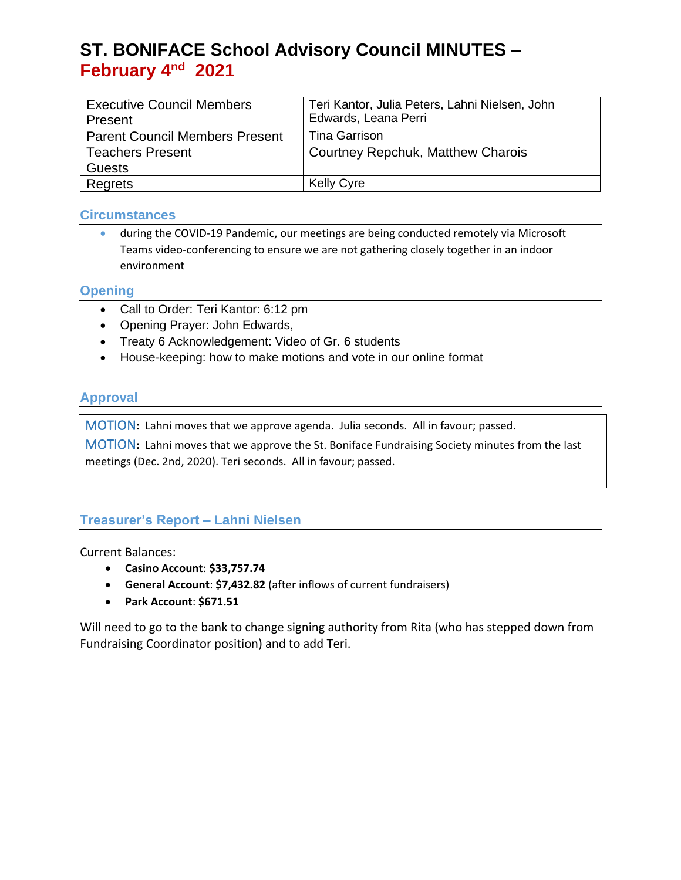| <b>Executive Council Members</b><br>Present | Teri Kantor, Julia Peters, Lahni Nielsen, John<br>Edwards, Leana Perri |
|---------------------------------------------|------------------------------------------------------------------------|
| <b>Parent Council Members Present</b>       | <b>Tina Garrison</b>                                                   |
| <b>Teachers Present</b>                     | Courtney Repchuk, Matthew Charois                                      |
| <b>Guests</b>                               |                                                                        |
| Regrets                                     | <b>Kelly Cyre</b>                                                      |

#### **Circumstances**

• during the COVID-19 Pandemic, our meetings are being conducted remotely via Microsoft Teams video-conferencing to ensure we are not gathering closely together in an indoor environment

#### **Opening**

- Call to Order: Teri Kantor: 6:12 pm
- Opening Prayer: John Edwards,
- Treaty 6 Acknowledgement: Video of Gr. 6 students
- House-keeping: how to make motions and vote in our online format

## **Approval**

MOTION**:** Lahni moves that we approve agenda. Julia seconds. All in favour; passed.

MOTION**:** Lahni moves that we approve the St. Boniface Fundraising Society minutes from the last meetings (Dec. 2nd, 2020). Teri seconds. All in favour; passed.

### **Treasurer's Report – Lahni Nielsen**

Current Balances:

- **Casino Account**: **\$33,757.74**
- **General Account**: **\$7,432.82** (after inflows of current fundraisers)
- **Park Account**: **\$671.51**

Will need to go to the bank to change signing authority from Rita (who has stepped down from Fundraising Coordinator position) and to add Teri.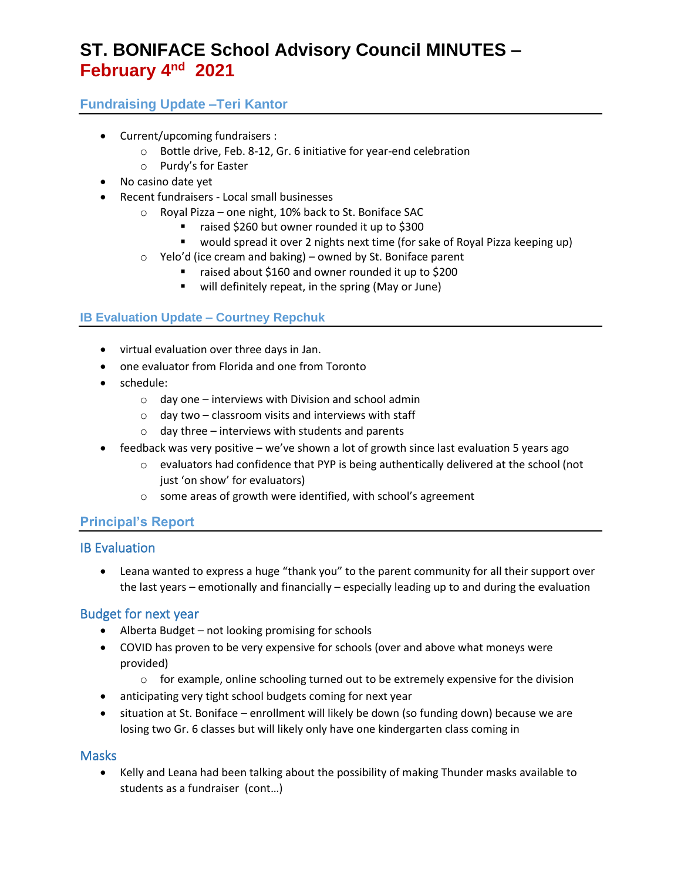## **Fundraising Update –Teri Kantor**

- Current/upcoming fundraisers :
	- o Bottle drive, Feb. 8-12, Gr. 6 initiative for year-end celebration
	- o Purdy's for Easter
- No casino date yet
- Recent fundraisers Local small businesses
	- o Royal Pizza one night, 10% back to St. Boniface SAC
		- raised \$260 but owner rounded it up to \$300
		- would spread it over 2 nights next time (for sake of Royal Pizza keeping up)
	- $\circ$  Yelo'd (ice cream and baking) owned by St. Boniface parent
		- raised about \$160 and owner rounded it up to \$200
		- will definitely repeat, in the spring (May or June)

#### **IB Evaluation Update – Courtney Repchuk**

- virtual evaluation over three days in Jan.
- one evaluator from Florida and one from Toronto
- schedule:
	- $\circ$  day one interviews with Division and school admin
	- $\circ$  day two classroom visits and interviews with staff
	- $\circ$  day three interviews with students and parents
- feedback was very positive we've shown a lot of growth since last evaluation 5 years ago
	- o evaluators had confidence that PYP is being authentically delivered at the school (not just 'on show' for evaluators)
	- o some areas of growth were identified, with school's agreement

### **Principal's Report**

#### IB Evaluation

• Leana wanted to express a huge "thank you" to the parent community for all their support over the last years – emotionally and financially – especially leading up to and during the evaluation

#### Budget for next year

- Alberta Budget not looking promising for schools
- COVID has proven to be very expensive for schools (over and above what moneys were provided)
	- $\circ$  for example, online schooling turned out to be extremely expensive for the division
- anticipating very tight school budgets coming for next year
- situation at St. Boniface enrollment will likely be down (so funding down) because we are losing two Gr. 6 classes but will likely only have one kindergarten class coming in

#### **Masks**

• Kelly and Leana had been talking about the possibility of making Thunder masks available to students as a fundraiser (cont…)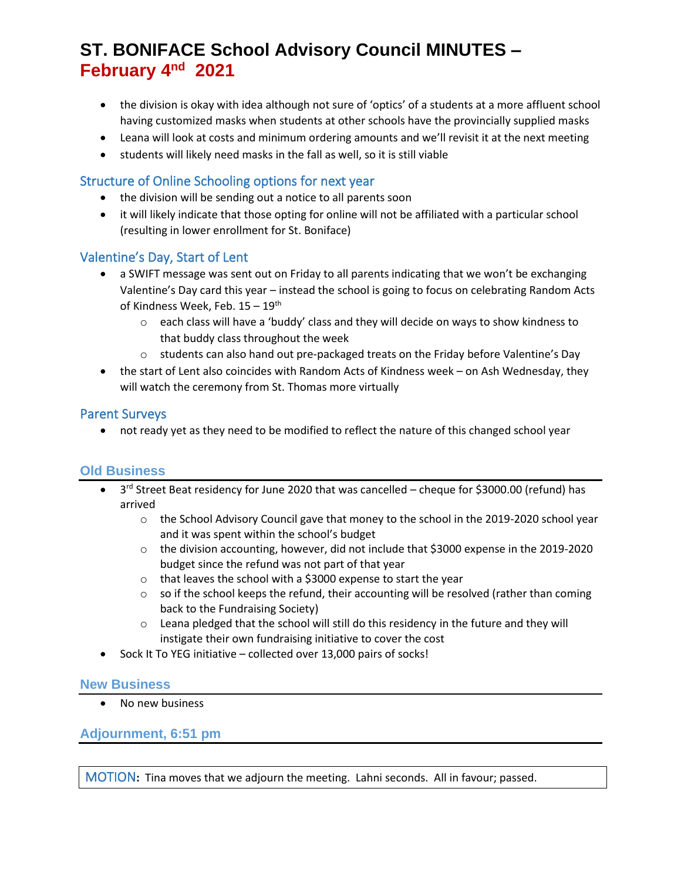- the division is okay with idea although not sure of 'optics' of a students at a more affluent school having customized masks when students at other schools have the provincially supplied masks
- Leana will look at costs and minimum ordering amounts and we'll revisit it at the next meeting
- students will likely need masks in the fall as well, so it is still viable

#### Structure of Online Schooling options for next year

- the division will be sending out a notice to all parents soon
- it will likely indicate that those opting for online will not be affiliated with a particular school (resulting in lower enrollment for St. Boniface)

#### Valentine's Day, Start of Lent

- a SWIFT message was sent out on Friday to all parents indicating that we won't be exchanging Valentine's Day card this year – instead the school is going to focus on celebrating Random Acts of Kindness Week, Feb. 15 - 19th
	- $\circ$  each class will have a 'buddy' class and they will decide on ways to show kindness to that buddy class throughout the week
	- $\circ$  students can also hand out pre-packaged treats on the Friday before Valentine's Day
- the start of Lent also coincides with Random Acts of Kindness week on Ash Wednesday, they will watch the ceremony from St. Thomas more virtually

#### Parent Surveys

• not ready yet as they need to be modified to reflect the nature of this changed school year

#### **Old Business**

- 3<sup>rd</sup> Street Beat residency for June 2020 that was cancelled cheque for \$3000.00 (refund) has arrived
	- $\circ$  the School Advisory Council gave that money to the school in the 2019-2020 school year and it was spent within the school's budget
	- o the division accounting, however, did not include that \$3000 expense in the 2019-2020 budget since the refund was not part of that year
	- o that leaves the school with a \$3000 expense to start the year
	- $\circ$  so if the school keeps the refund, their accounting will be resolved (rather than coming back to the Fundraising Society)
	- o Leana pledged that the school will still do this residency in the future and they will instigate their own fundraising initiative to cover the cost
- Sock It To YEG initiative collected over 13,000 pairs of socks!

#### **New Business**

• No new business

#### **Adjournment, 6:51 pm**

MOTION**:** Tina moves that we adjourn the meeting. Lahni seconds. All in favour; passed.